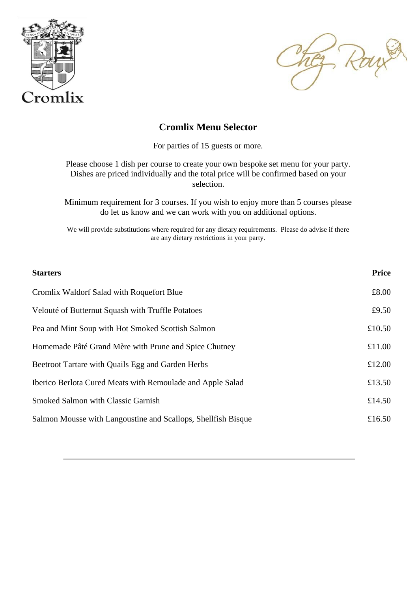



## **Cromlix Menu Selector**

For parties of 15 guests or more.

Please choose 1 dish per course to create your own bespoke set menu for your party. Dishes are priced individually and the total price will be confirmed based on your selection.

Minimum requirement for 3 courses. If you wish to enjoy more than 5 courses please do let us know and we can work with you on additional options.

We will provide substitutions where required for any dietary requirements. Please do advise if there are any dietary restrictions in your party.

| <b>Starters</b>                                               | <b>Price</b> |
|---------------------------------------------------------------|--------------|
| Cromlix Waldorf Salad with Roquefort Blue                     | £8.00        |
| Velouté of Butternut Squash with Truffle Potatoes             | £9.50        |
| Pea and Mint Soup with Hot Smoked Scottish Salmon             | £10.50       |
| Homemade Pâté Grand Mère with Prune and Spice Chutney         | £11.00       |
| Beetroot Tartare with Quails Egg and Garden Herbs             | £12.00       |
| Iberico Berlota Cured Meats with Remoulade and Apple Salad    | £13.50       |
| Smoked Salmon with Classic Garnish                            | £14.50       |
| Salmon Mousse with Langoustine and Scallops, Shellfish Bisque | £16.50       |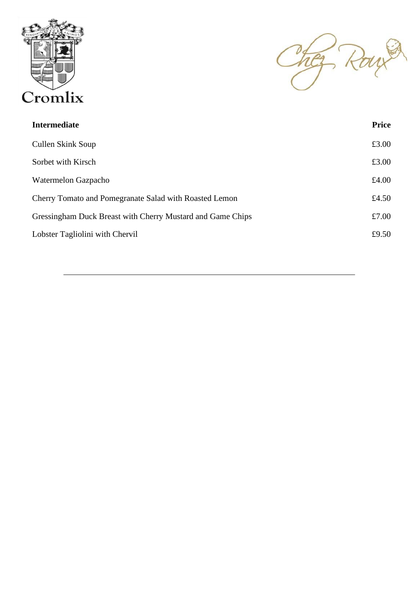

They Row

| <b>Intermediate</b>                                        | <b>Price</b> |
|------------------------------------------------------------|--------------|
| Cullen Skink Soup                                          | £3.00        |
| Sorbet with Kirsch                                         | £3.00        |
| Watermelon Gazpacho                                        | £4.00        |
| Cherry Tomato and Pomegranate Salad with Roasted Lemon     | £4.50        |
| Gressingham Duck Breast with Cherry Mustard and Game Chips | £7.00        |
| Lobster Tagliolini with Chervil                            | £9.50        |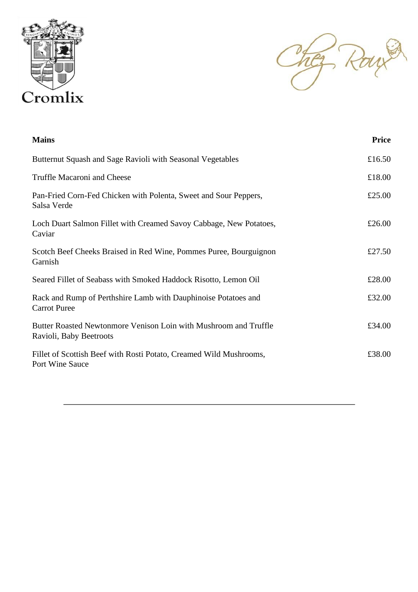



| <b>Mains</b>                                                                                | <b>Price</b> |
|---------------------------------------------------------------------------------------------|--------------|
| Butternut Squash and Sage Ravioli with Seasonal Vegetables                                  | £16.50       |
| Truffle Macaroni and Cheese                                                                 | £18.00       |
| Pan-Fried Corn-Fed Chicken with Polenta, Sweet and Sour Peppers,<br>Salsa Verde             | £25.00       |
| Loch Duart Salmon Fillet with Creamed Savoy Cabbage, New Potatoes,<br>Caviar                | £26.00       |
| Scotch Beef Cheeks Braised in Red Wine, Pommes Puree, Bourguignon<br>Garnish                | £27.50       |
| Seared Fillet of Seabass with Smoked Haddock Risotto, Lemon Oil                             | £28.00       |
| Rack and Rump of Perthshire Lamb with Dauphinoise Potatoes and<br><b>Carrot Puree</b>       | £32.00       |
| Butter Roasted Newtonmore Venison Loin with Mushroom and Truffle<br>Ravioli, Baby Beetroots | £34.00       |
| Fillet of Scottish Beef with Rosti Potato, Creamed Wild Mushrooms,<br>Port Wine Sauce       | £38.00       |
|                                                                                             |              |